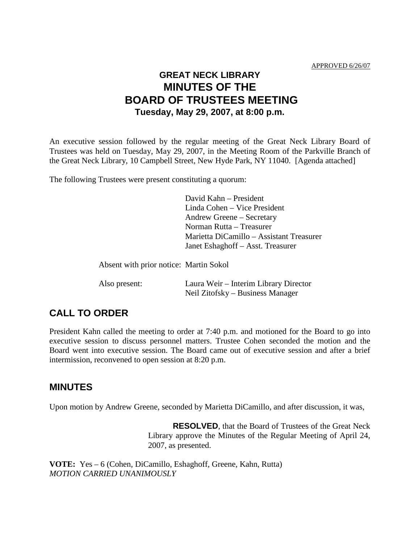# **GREAT NECK LIBRARY MINUTES OF THE BOARD OF TRUSTEES MEETING Tuesday, May 29, 2007, at 8:00 p.m.**

An executive session followed by the regular meeting of the Great Neck Library Board of Trustees was held on Tuesday, May 29, 2007, in the Meeting Room of the Parkville Branch of the Great Neck Library, 10 Campbell Street, New Hyde Park, NY 11040. [Agenda attached]

The following Trustees were present constituting a quorum:

| David Kahn – President                   |
|------------------------------------------|
| Linda Cohen – Vice President             |
| Andrew Greene – Secretary                |
| Norman Rutta – Treasurer                 |
| Marietta DiCamillo – Assistant Treasurer |
| Janet Eshaghoff – Asst. Treasurer        |
|                                          |

Absent with prior notice: Martin Sokol

| Also present: | Laura Weir – Interim Library Director |
|---------------|---------------------------------------|
|               | Neil Zitofsky – Business Manager      |

## **CALL TO ORDER**

President Kahn called the meeting to order at 7:40 p.m. and motioned for the Board to go into executive session to discuss personnel matters. Trustee Cohen seconded the motion and the Board went into executive session. The Board came out of executive session and after a brief intermission, reconvened to open session at 8:20 p.m.

## **MINUTES**

Upon motion by Andrew Greene, seconded by Marietta DiCamillo, and after discussion, it was,

**RESOLVED**, that the Board of Trustees of the Great Neck Library approve the Minutes of the Regular Meeting of April 24, 2007, as presented.

**VOTE:** Yes – 6 (Cohen, DiCamillo, Eshaghoff, Greene, Kahn, Rutta) *MOTION CARRIED UNANIMOUSLY*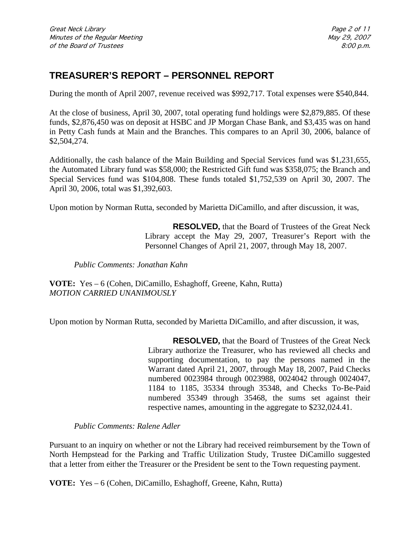# **TREASURER'S REPORT – PERSONNEL REPORT**

During the month of April 2007, revenue received was \$992,717. Total expenses were \$540,844.

At the close of business, April 30, 2007, total operating fund holdings were \$2,879,885. Of these funds, \$2,876,450 was on deposit at HSBC and JP Morgan Chase Bank, and \$3,435 was on hand in Petty Cash funds at Main and the Branches. This compares to an April 30, 2006, balance of \$2,504,274.

Additionally, the cash balance of the Main Building and Special Services fund was \$1,231,655, the Automated Library fund was \$58,000; the Restricted Gift fund was \$358,075; the Branch and Special Services fund was \$104,808. These funds totaled \$1,752,539 on April 30, 2007. The April 30, 2006, total was \$1,392,603.

Upon motion by Norman Rutta, seconded by Marietta DiCamillo, and after discussion, it was,

**RESOLVED,** that the Board of Trustees of the Great Neck Library accept the May 29, 2007, Treasurer's Report with the Personnel Changes of April 21, 2007, through May 18, 2007.

*Public Comments: Jonathan Kahn*

**VOTE:** Yes – 6 (Cohen, DiCamillo, Eshaghoff, Greene, Kahn, Rutta) *MOTION CARRIED UNANIMOUSLY*

Upon motion by Norman Rutta, seconded by Marietta DiCamillo, and after discussion, it was,

**RESOLVED,** that the Board of Trustees of the Great Neck Library authorize the Treasurer, who has reviewed all checks and supporting documentation, to pay the persons named in the Warrant dated April 21, 2007, through May 18, 2007, Paid Checks numbered 0023984 through 0023988, 0024042 through 0024047, 1184 to 1185, 35334 through 35348, and Checks To-Be-Paid numbered 35349 through 35468, the sums set against their respective names, amounting in the aggregate to \$232,024.41.

*Public Comments: Ralene Adler*

Pursuant to an inquiry on whether or not the Library had received reimbursement by the Town of North Hempstead for the Parking and Traffic Utilization Study, Trustee DiCamillo suggested that a letter from either the Treasurer or the President be sent to the Town requesting payment.

**VOTE:** Yes – 6 (Cohen, DiCamillo, Eshaghoff, Greene, Kahn, Rutta)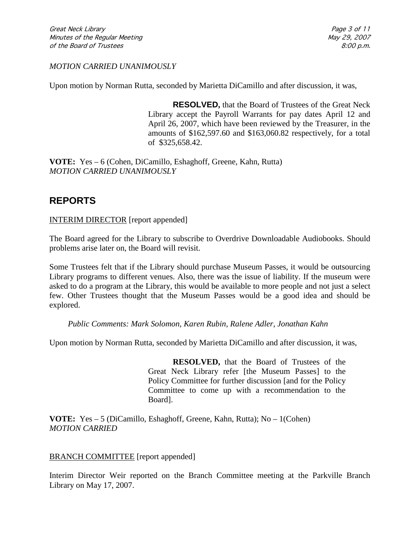#### *MOTION CARRIED UNANIMOUSLY*

Upon motion by Norman Rutta, seconded by Marietta DiCamillo and after discussion, it was,

**RESOLVED,** that the Board of Trustees of the Great Neck Library accept the Payroll Warrants for pay dates April 12 and April 26, 2007, which have been reviewed by the Treasurer, in the amounts of \$162,597.60 and \$163,060.82 respectively, for a total of \$325,658.42.

**VOTE:** Yes – 6 (Cohen, DiCamillo, Eshaghoff, Greene, Kahn, Rutta) *MOTION CARRIED UNANIMOUSLY*

## **REPORTS**

INTERIM DIRECTOR [report appended]

The Board agreed for the Library to subscribe to Overdrive Downloadable Audiobooks. Should problems arise later on, the Board will revisit.

Some Trustees felt that if the Library should purchase Museum Passes, it would be outsourcing Library programs to different venues. Also, there was the issue of liability. If the museum were asked to do a program at the Library, this would be available to more people and not just a select few. Other Trustees thought that the Museum Passes would be a good idea and should be explored.

*Public Comments: Mark Solomon, Karen Rubin, Ralene Adler, Jonathan Kahn*

Upon motion by Norman Rutta, seconded by Marietta DiCamillo and after discussion, it was,

**RESOLVED,** that the Board of Trustees of the Great Neck Library refer [the Museum Passes] to the Policy Committee for further discussion [and for the Policy Committee to come up with a recommendation to the Board].

**VOTE:** Yes – 5 (DiCamillo, Eshaghoff, Greene, Kahn, Rutta); No – 1(Cohen) *MOTION CARRIED* 

#### BRANCH COMMITTEE [report appended]

Interim Director Weir reported on the Branch Committee meeting at the Parkville Branch Library on May 17, 2007.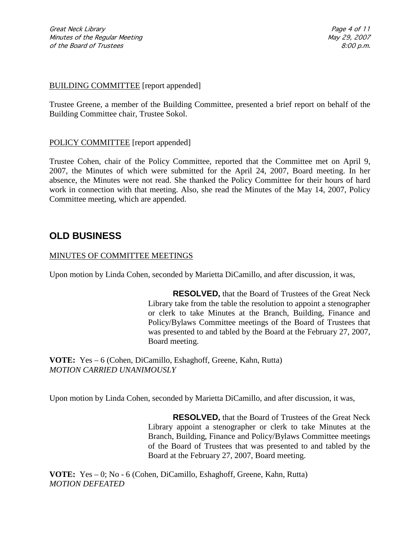Great Neck Library Page 4 of 11 Minutes of the Regular Meeting May 29, 2007 of the Board of Trustees 8:00 p.m.

#### BUILDING COMMITTEE [report appended]

Trustee Greene, a member of the Building Committee, presented a brief report on behalf of the Building Committee chair, Trustee Sokol.

#### POLICY COMMITTEE [report appended]

Trustee Cohen, chair of the Policy Committee, reported that the Committee met on April 9, 2007, the Minutes of which were submitted for the April 24, 2007, Board meeting. In her absence, the Minutes were not read. She thanked the Policy Committee for their hours of hard work in connection with that meeting. Also, she read the Minutes of the May 14, 2007, Policy Committee meeting, which are appended.

### **OLD BUSINESS**

#### MINUTES OF COMMITTEE MEETINGS

Upon motion by Linda Cohen, seconded by Marietta DiCamillo, and after discussion, it was,

**RESOLVED,** that the Board of Trustees of the Great Neck Library take from the table the resolution to appoint a stenographer or clerk to take Minutes at the Branch, Building, Finance and Policy/Bylaws Committee meetings of the Board of Trustees that was presented to and tabled by the Board at the February 27, 2007, Board meeting.

**VOTE:** Yes – 6 (Cohen, DiCamillo, Eshaghoff, Greene, Kahn, Rutta) *MOTION CARRIED UNANIMOUSLY*

Upon motion by Linda Cohen, seconded by Marietta DiCamillo, and after discussion, it was,

**RESOLVED,** that the Board of Trustees of the Great Neck Library appoint a stenographer or clerk to take Minutes at the Branch, Building, Finance and Policy/Bylaws Committee meetings of the Board of Trustees that was presented to and tabled by the Board at the February 27, 2007, Board meeting.

**VOTE:** Yes – 0; No - 6 (Cohen, DiCamillo, Eshaghoff, Greene, Kahn, Rutta) *MOTION DEFEATED*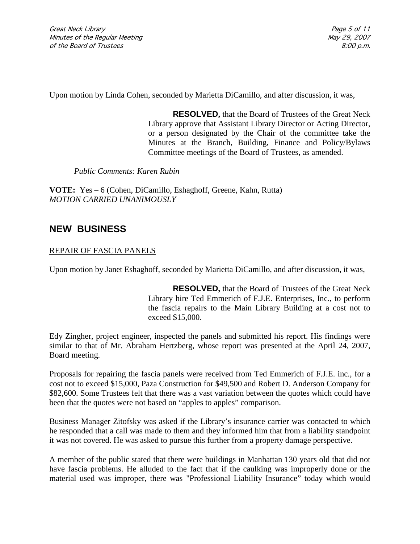Great Neck Library Page 5 of 11 Minutes of the Regular Meeting May 29, 2007 of the Board of Trustees 8:00 p.m.

Upon motion by Linda Cohen, seconded by Marietta DiCamillo, and after discussion, it was,

**RESOLVED,** that the Board of Trustees of the Great Neck Library approve that Assistant Library Director or Acting Director, or a person designated by the Chair of the committee take the Minutes at the Branch, Building, Finance and Policy/Bylaws Committee meetings of the Board of Trustees, as amended.

*Public Comments: Karen Rubin*

**VOTE:** Yes – 6 (Cohen, DiCamillo, Eshaghoff, Greene, Kahn, Rutta) *MOTION CARRIED UNANIMOUSLY*

## **NEW BUSINESS**

#### REPAIR OF FASCIA PANELS

Upon motion by Janet Eshaghoff, seconded by Marietta DiCamillo, and after discussion, it was,

**RESOLVED,** that the Board of Trustees of the Great Neck Library hire Ted Emmerich of F.J.E. Enterprises, Inc., to perform the fascia repairs to the Main Library Building at a cost not to exceed \$15,000.

Edy Zingher, project engineer, inspected the panels and submitted his report. His findings were similar to that of Mr. Abraham Hertzberg, whose report was presented at the April 24, 2007, Board meeting.

Proposals for repairing the fascia panels were received from Ted Emmerich of F.J.E. inc., for a cost not to exceed \$15,000, Paza Construction for \$49,500 and Robert D. Anderson Company for \$82,600. Some Trustees felt that there was a vast variation between the quotes which could have been that the quotes were not based on "apples to apples" comparison.

Business Manager Zitofsky was asked if the Library's insurance carrier was contacted to which he responded that a call was made to them and they informed him that from a liability standpoint it was not covered. He was asked to pursue this further from a property damage perspective.

A member of the public stated that there were buildings in Manhattan 130 years old that did not have fascia problems. He alluded to the fact that if the caulking was improperly done or the material used was improper, there was "Professional Liability Insurance" today which would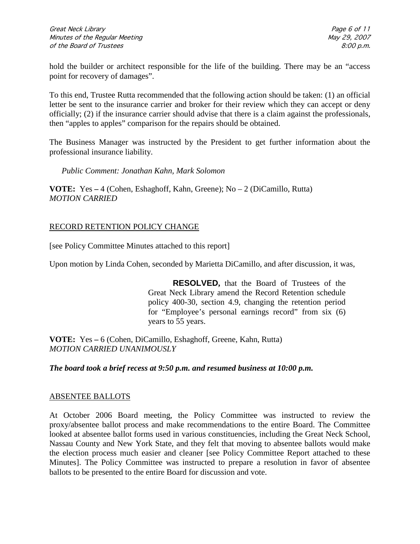hold the builder or architect responsible for the life of the building. There may be an "access point for recovery of damages".

To this end, Trustee Rutta recommended that the following action should be taken: (1) an official letter be sent to the insurance carrier and broker for their review which they can accept or deny officially; (2) if the insurance carrier should advise that there is a claim against the professionals, then "apples to apples" comparison for the repairs should be obtained.

The Business Manager was instructed by the President to get further information about the professional insurance liability.

*Public Comment: Jonathan Kahn, Mark Solomon*

**VOTE:** Yes **–** 4 (Cohen, Eshaghoff, Kahn, Greene); No – 2 (DiCamillo, Rutta) *MOTION CARRIED* 

#### RECORD RETENTION POLICY CHANGE

[see Policy Committee Minutes attached to this report]

Upon motion by Linda Cohen, seconded by Marietta DiCamillo, and after discussion, it was,

**RESOLVED,** that the Board of Trustees of the Great Neck Library amend the Record Retention schedule policy 400-30, section 4.9, changing the retention period for "Employee's personal earnings record" from six (6) years to 55 years.

**VOTE:** Yes **–** 6 (Cohen, DiCamillo, Eshaghoff, Greene, Kahn, Rutta) *MOTION CARRIED UNANIMOUSLY*

#### *The board took a brief recess at 9:50 p.m. and resumed business at 10:00 p.m.*

#### ABSENTEE BALLOTS

At October 2006 Board meeting, the Policy Committee was instructed to review the proxy/absentee ballot process and make recommendations to the entire Board. The Committee looked at absentee ballot forms used in various constituencies, including the Great Neck School, Nassau County and New York State, and they felt that moving to absentee ballots would make the election process much easier and cleaner [see Policy Committee Report attached to these Minutes]. The Policy Committee was instructed to prepare a resolution in favor of absentee ballots to be presented to the entire Board for discussion and vote.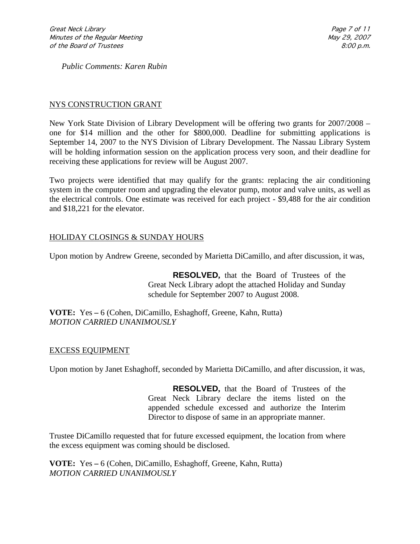*Public Comments: Karen Rubin*

### NYS CONSTRUCTION GRANT

New York State Division of Library Development will be offering two grants for 2007/2008 – one for \$14 million and the other for \$800,000. Deadline for submitting applications is September 14, 2007 to the NYS Division of Library Development. The Nassau Library System will be holding information session on the application process very soon, and their deadline for receiving these applications for review will be August 2007.

Two projects were identified that may qualify for the grants: replacing the air conditioning system in the computer room and upgrading the elevator pump, motor and valve units, as well as the electrical controls. One estimate was received for each project - \$9,488 for the air condition and \$18,221 for the elevator.

### HOLIDAY CLOSINGS & SUNDAY HOURS

Upon motion by Andrew Greene, seconded by Marietta DiCamillo, and after discussion, it was,

**RESOLVED,** that the Board of Trustees of the Great Neck Library adopt the attached Holiday and Sunday schedule for September 2007 to August 2008.

**VOTE:** Yes **–** 6 (Cohen, DiCamillo, Eshaghoff, Greene, Kahn, Rutta) *MOTION CARRIED UNANIMOUSLY*

#### EXCESS EQUIPMENT

Upon motion by Janet Eshaghoff, seconded by Marietta DiCamillo, and after discussion, it was,

**RESOLVED,** that the Board of Trustees of the Great Neck Library declare the items listed on the appended schedule excessed and authorize the Interim Director to dispose of same in an appropriate manner.

Trustee DiCamillo requested that for future excessed equipment, the location from where the excess equipment was coming should be disclosed.

**VOTE:** Yes **–** 6 (Cohen, DiCamillo, Eshaghoff, Greene, Kahn, Rutta) *MOTION CARRIED UNANIMOUSLY*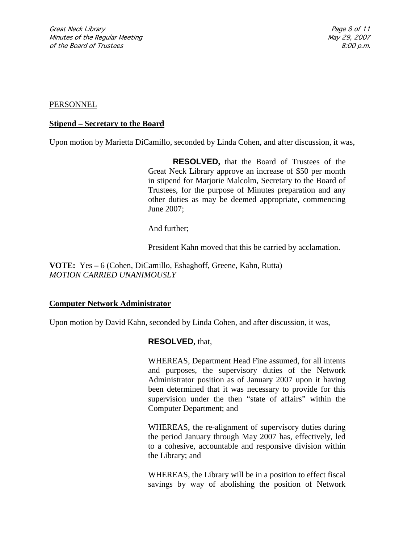#### **PERSONNEL**

#### **Stipend – Secretary to the Board**

Upon motion by Marietta DiCamillo, seconded by Linda Cohen, and after discussion, it was,

**RESOLVED,** that the Board of Trustees of the Great Neck Library approve an increase of \$50 per month in stipend for Marjorie Malcolm, Secretary to the Board of Trustees, for the purpose of Minutes preparation and any other duties as may be deemed appropriate, commencing June 2007;

And further;

President Kahn moved that this be carried by acclamation.

**VOTE:** Yes **–** 6 (Cohen, DiCamillo, Eshaghoff, Greene, Kahn, Rutta) *MOTION CARRIED UNANIMOUSLY*

#### **Computer Network Administrator**

Upon motion by David Kahn, seconded by Linda Cohen, and after discussion, it was,

#### **RESOLVED,** that,

WHEREAS, Department Head Fine assumed, for all intents and purposes, the supervisory duties of the Network Administrator position as of January 2007 upon it having been determined that it was necessary to provide for this supervision under the then "state of affairs" within the Computer Department; and

WHEREAS, the re-alignment of supervisory duties during the period January through May 2007 has, effectively, led to a cohesive, accountable and responsive division within the Library; and

WHEREAS, the Library will be in a position to effect fiscal savings by way of abolishing the position of Network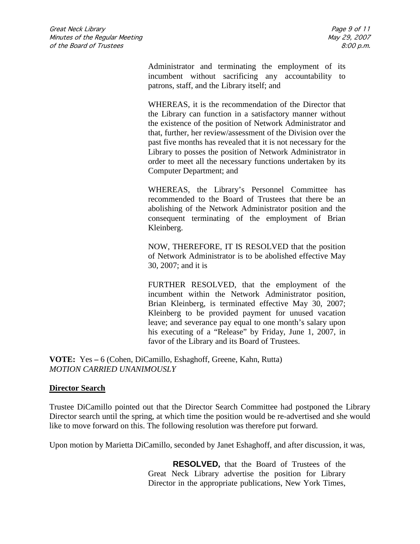Administrator and terminating the employment of its incumbent without sacrificing any accountability to patrons, staff, and the Library itself; and

WHEREAS, it is the recommendation of the Director that the Library can function in a satisfactory manner without the existence of the position of Network Administrator and that, further, her review/assessment of the Division over the past five months has revealed that it is not necessary for the Library to posses the position of Network Administrator in order to meet all the necessary functions undertaken by its Computer Department; and

WHEREAS, the Library's Personnel Committee has recommended to the Board of Trustees that there be an abolishing of the Network Administrator position and the consequent terminating of the employment of Brian Kleinberg.

NOW, THEREFORE, IT IS RESOLVED that the position of Network Administrator is to be abolished effective May 30, 2007; and it is

FURTHER RESOLVED, that the employment of the incumbent within the Network Administrator position, Brian Kleinberg, is terminated effective May 30, 2007; Kleinberg to be provided payment for unused vacation leave; and severance pay equal to one month's salary upon his executing of a "Release" by Friday, June 1, 2007, in favor of the Library and its Board of Trustees.

**VOTE:** Yes **–** 6 (Cohen, DiCamillo, Eshaghoff, Greene, Kahn, Rutta) *MOTION CARRIED UNANIMOUSLY*

#### **Director Search**

Trustee DiCamillo pointed out that the Director Search Committee had postponed the Library Director search until the spring, at which time the position would be re-advertised and she would like to move forward on this. The following resolution was therefore put forward.

Upon motion by Marietta DiCamillo, seconded by Janet Eshaghoff, and after discussion, it was,

**RESOLVED,** that the Board of Trustees of the Great Neck Library advertise the position for Library Director in the appropriate publications, New York Times,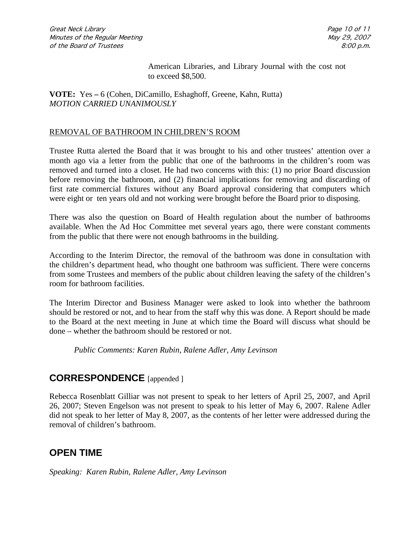American Libraries, and Library Journal with the cost not to exceed \$8,500.

#### **VOTE:** Yes **–** 6 (Cohen, DiCamillo, Eshaghoff, Greene, Kahn, Rutta) *MOTION CARRIED UNANIMOUSLY*

#### REMOVAL OF BATHROOM IN CHILDREN'S ROOM

Trustee Rutta alerted the Board that it was brought to his and other trustees' attention over a month ago via a letter from the public that one of the bathrooms in the children's room was removed and turned into a closet. He had two concerns with this: (1) no prior Board discussion before removing the bathroom, and (2) financial implications for removing and discarding of first rate commercial fixtures without any Board approval considering that computers which were eight or ten years old and not working were brought before the Board prior to disposing.

There was also the question on Board of Health regulation about the number of bathrooms available. When the Ad Hoc Committee met several years ago, there were constant comments from the public that there were not enough bathrooms in the building.

According to the Interim Director, the removal of the bathroom was done in consultation with the children's department head, who thought one bathroom was sufficient. There were concerns from some Trustees and members of the public about children leaving the safety of the children's room for bathroom facilities.

The Interim Director and Business Manager were asked to look into whether the bathroom should be restored or not, and to hear from the staff why this was done. A Report should be made to the Board at the next meeting in June at which time the Board will discuss what should be done – whether the bathroom should be restored or not.

*Public Comments: Karen Rubin, Ralene Adler, Amy Levinson*

### **CORRESPONDENCE** [appended ]

Rebecca Rosenblatt Gilliar was not present to speak to her letters of April 25, 2007, and April 26, 2007; Steven Engelson was not present to speak to his letter of May 6, 2007. Ralene Adler did not speak to her letter of May 8, 2007, as the contents of her letter were addressed during the removal of children's bathroom.

## **OPEN TIME**

*Speaking: Karen Rubin, Ralene Adler, Amy Levinson*